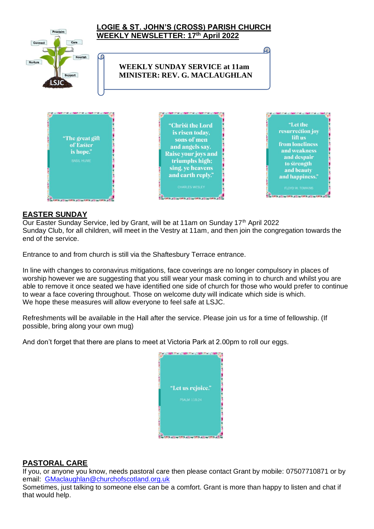

#### **EASTER SUNDAY**

Our Easter Sunday Service, led by Grant, will be at 11am on Sunday 17<sup>th</sup> April 2022 Sunday Club, for all children, will meet in the Vestry at 11am, and then join the congregation towards the end of the service.

Entrance to and from church is still via the Shaftesbury Terrace entrance.

In line with changes to coronavirus mitigations, face coverings are no longer compulsory in places of worship however we are suggesting that you still wear your mask coming in to church and whilst you are able to remove it once seated we have identified one side of church for those who would prefer to continue to wear a face covering throughout. Those on welcome duty will indicate which side is which. We hope these measures will allow everyone to feel safe at LSJC.

Refreshments will be available in the Hall after the service. Please join us for a time of fellowship. (If possible, bring along your own mug)

And don't forget that there are plans to meet at Victoria Park at 2.00pm to roll our eggs.



### **PASTORAL CARE**

If you, or anyone you know, needs pastoral care then please contact Grant by mobile: 07507710871 or by email: [GMaclaughlan@churchofscotland.org.uk](mailto:GMaclaughlan@churchofscotland.org.uk)

Sometimes, just talking to someone else can be a comfort. Grant is more than happy to listen and chat if that would help.